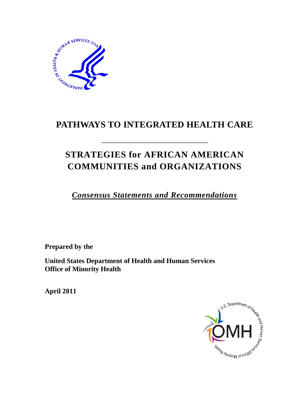

# **PATHWAYS TO INTEGRATED HEALTH CARE**

**\_\_\_\_\_\_\_\_\_\_\_\_\_\_\_\_\_\_\_\_\_\_\_\_\_\_\_\_\_\_\_\_\_\_\_\_\_\_\_** 

# **STRATEGIES for AFRICAN AMERICAN COMMUNITIES and ORGANIZATIONS**

*Consensus Statements and Recommendations*

**Prepared by the**

**United States Department of Health and Human Services Office of Minority Health** 

**April 2011**

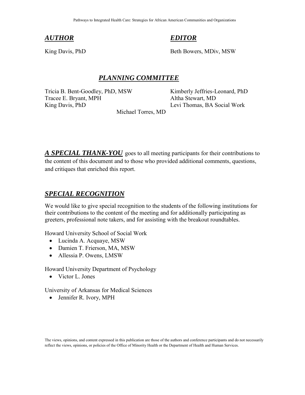#### *AUTHOR*

#### *EDITOR*

King Davis, PhD

Beth Bowers, MDiv, MSW

#### *PLANNING COMMITTEE*

Tricia B. Bent-Goodley, PhD, MSW Kimberly Jeffries-Leonard, PhD Tracee E. Bryant, MPH Altha Stewart, MD King Davis, PhD Levi Thomas, BA Social Work

Michael Torres, MD

*A SPECIAL THANK-YOU* goes to all meeting participants for their contributions to the content of this document and to those who provided additional comments, questions, and critiques that enriched this report.

#### *SPECIAL RECOGNITION*

We would like to give special recognition to the students of the following institutions for their contributions to the content of the meeting and for additionally participating as greeters, professional note takers, and for assisting with the breakout roundtables.

Howard University School of Social Work

- Lucinda A. Acquaye, MSW
- Damien T. Frierson, MA, MSW
- Allessia P. Owens, LMSW

Howard University Department of Psychology

• Victor L. Jones

University of Arkansas for Medical Sciences

• Jennifer R. Ivory, MPH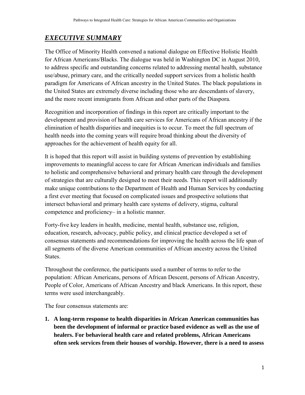## <span id="page-2-0"></span>*EXECUTIVE SUMMARY*

The Office of Minority Health convened a national dialogue on Effective Holistic Health for African Americans/Blacks. The dialogue was held in Washington DC in August 2010, to address specific and outstanding concerns related to addressing mental health, substance use/abuse, primary care, and the critically needed support services from a holistic health paradigm for Americans of African ancestry in the United States. The black populations in the United States are extremely diverse including those who are descendants of slavery, and the more recent immigrants from African and other parts of the Diaspora.

Recognition and incorporation of findings in this report are critically important to the development and provision of health care services for Americans of African ancestry if the elimination of health disparities and inequities is to occur. To meet the full spectrum of health needs into the coming years will require broad thinking about the diversity of approaches for the achievement of health equity for all.

It is hoped that this report will assist in building systems of prevention by establishing improvements to meaningful access to care for African American individuals and families to holistic and comprehensive behavioral and primary health care through the development of strategies that are culturally designed to meet their needs. This report will additionally make unique contributions to the Department of Health and Human Services by conducting a first ever meeting that focused on complicated issues and prospective solutions that intersect behavioral and primary health care systems of delivery, stigma, cultural competence and proficiency– in a holistic manner.

Forty-five key leaders in health, medicine, mental health, substance use, religion, education, research, advocacy, public policy, and clinical practice developed a set of consensus statements and recommendations for improving the health across the life span of all segments of the diverse American communities of African ancestry across the United States.

Throughout the conference, the participants used a number of terms to refer to the population: African Americans, persons of African Descent, persons of African Ancestry, People of Color, Americans of African Ancestry and black Americans. In this report, these terms were used interchangeably.

The four consensus statements are:

**1. A long-term response to health disparities in African American communities has been the development of informal or practice based evidence as well as the use of healers. For behavioral health care and related problems, African Americans often seek services from their houses of worship. However, there is a need to assess**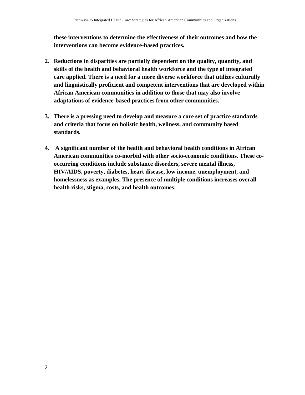**these interventions to determine the effectiveness of their outcomes and how the interventions can become evidence-based practices.** 

- **2. Reductions in disparities are partially dependent on the quality, quantity, and skills of the health and behavioral health workforce and the type of integrated care applied. There is a need for a more diverse workforce that utilizes culturally and linguistically proficient and competent interventions that are developed within African American communities in addition to those that may also involve adaptations of evidence-based practices from other communities.**
- **3. There is a pressing need to develop and measure a core set of practice standards and criteria that focus on holistic health, wellness, and community based standards.**
- **4. A significant number of the health and behavioral health conditions in African American communities co-morbid with other socio-economic conditions. These cooccurring conditions include substance disorders, severe mental illness, HIV/AIDS, poverty, diabetes, heart disease, low income, unemployment, and homelessness as examples. The presence of multiple conditions increases overall health risks, stigma, costs, and health outcomes.**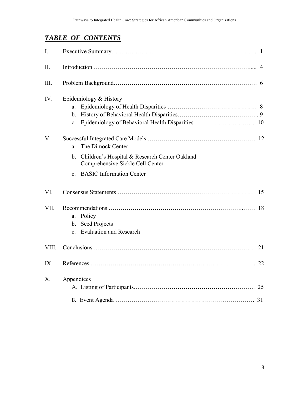## *TABLE OF CONTENTS*

| I.    |                                                                                                                                                              |  |  |  |
|-------|--------------------------------------------------------------------------------------------------------------------------------------------------------------|--|--|--|
| II.   |                                                                                                                                                              |  |  |  |
| III.  |                                                                                                                                                              |  |  |  |
| IV.   | Epidemiology & History<br>a.<br>$\mathbf{b}$ .<br>$\mathbf{c}$ .                                                                                             |  |  |  |
| V.    | The Dimock Center<br>a.<br>Children's Hospital & Research Center Oakland<br>$\mathbf b$ .<br>Comprehensive Sickle Cell Center<br>c. BASIC Information Center |  |  |  |
| VI.   |                                                                                                                                                              |  |  |  |
| VII.  | Policy<br>a.<br>b. Seed Projects<br><b>Evaluation and Research</b><br>$\mathbf{c}$                                                                           |  |  |  |
| VIII. |                                                                                                                                                              |  |  |  |
| IX.   |                                                                                                                                                              |  |  |  |
| X.    | Appendices                                                                                                                                                   |  |  |  |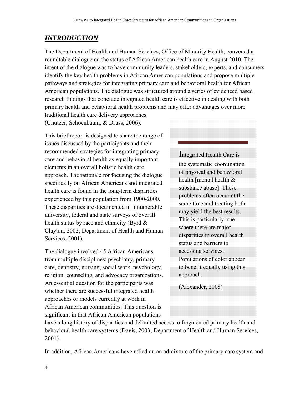## <span id="page-5-0"></span>*INTRODUCTION*

The Department of Health and Human Services, Office of Minority Health, convened a roundtable dialogue on the status of African American health care in August 2010. The intent of the dialogue was to have community leaders, stakeholders, experts, and consumers identify the key health problems in African American populations and propose multiple pathways and strategies for integrating primary care and behavioral health for African American populations. The dialogue was structured around a series of evidenced based research findings that conclude integrated health care is effective in dealing with both primary health and behavioral health problems and may offer advantages over more

traditional health care delivery approaches (Unutzer, Schoenbaum, & Druss, 2006).

This brief report is designed to share the range of issues discussed by the participants and their recommended strategies for integrating primary care and behavioral health as equally important elements in an overall holistic health care approach. The rationale for focusing the dialogue specifically on African Americans and integrated health care is found in the long-term disparities experienced by this population from 1900-2000. These disparities are documented in innumerable university, federal and state surveys of overall health status by race and ethnicity (Byrd & Clayton, 2002; Department of Health and Human Services, 2001).

The dialogue involved 45 African Americans from multiple disciplines: psychiatry, primary care, dentistry, nursing, social work, psychology, religion, counseling, and advocacy organizations. An essential question for the participants was whether there are successful integrated health approaches or models currently at work in African American communities. This question is significant in that African American populations

Integrated Health Care is the systematic coordination of physical and behavioral health [mental health & substance abuse]. These problems often occur at the same time and treating both may yield the best results. This is particularly true where there are major disparities in overall health status and barriers to accessing services. Populations of color appear to benefit equally using this approach.

(Alexander, 2008)

have a long history of disparities and delimited access to fragmented primary health and behavioral health care systems (Davis, 2003; Department of Health and Human Services, 2001).

In addition, African Americans have relied on an admixture of the primary care system and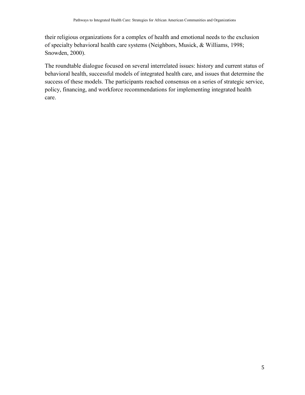their religious organizations for a complex of health and emotional needs to the exclusion of specialty behavioral health care systems (Neighbors, Musick, & Williams, 1998; Snowden, 2000).

The roundtable dialogue focused on several interrelated issues: history and current status of behavioral health, successful models of integrated health care, and issues that determine the success of these models. The participants reached consensus on a series of strategic service, policy, financing, and workforce recommendations for implementing integrated health care.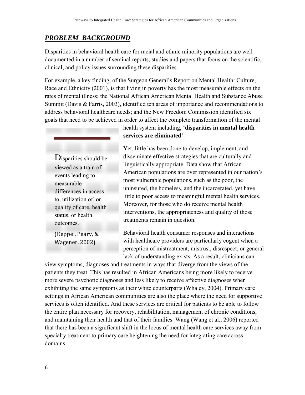#### <span id="page-7-0"></span>*PROBLEM BACKGROUND*

Disparities in behavioral health care for racial and ethnic minority populations are well documented in a number of seminal reports, studies and papers that focus on the scientific, clinical, and policy issues surrounding these disparities.

For example, a key finding, of the Surgeon General's Report on Mental Health: Culture, Race and Ethnicity (2001), is that living in poverty has the most measurable effects on the rates of mental illness; the National African American Mental Health and Substance Abuse Summit (Davis & Farris, 2003), identified ten areas of importance and recommendations to address behavioral healthcare needs; and the New Freedom Commission identified six goals that need to be achieved in order to affect the complete transformation of the mental

Disparities should be viewed as a train of events leading to measurable differences in access to, utilization of, or quality of care, health status, or health outcomes.

(Keppel, Peary, & Wagener, 2002)

health system including, '**disparities in mental health services are eliminated**'.

Yet, little has been done to develop, implement, and disseminate effective strategies that are culturally and linguistically appropriate. Data show that African American populations are over represented in our nation's most vulnerable populations, such as the poor, the uninsured, the homeless, and the incarcerated, yet have little to poor access to meaningful mental health services. Moreover, for those who do receive mental health interventions, the appropriateness and quality of those treatments remain in question.

Behavioral health consumer responses and interactions with healthcare providers are particularly cogent when a perception of mistreatment, mistrust, disrespect, or general lack of understanding exists. As a result, clinicians can

view symptoms, diagnoses and treatments in ways that diverge from the views of the patients they treat. This has resulted in African Americans being more likely to receive more severe psychotic diagnoses and less likely to receive affective diagnoses when exhibiting the same symptoms as their white counterparts (Whaley, 2004). Primary care settings in African American communities are also the place where the need for supportive services is often identified. And these services are critical for patients to be able to follow the entire plan necessary for recovery, rehabilitation, management of chronic conditions, and maintaining their health and that of their families. Wang (Wang et al., 2006) reported that there has been a significant shift in the locus of mental health care services away from specialty treatment to primary care heightening the need for integrating care across domains.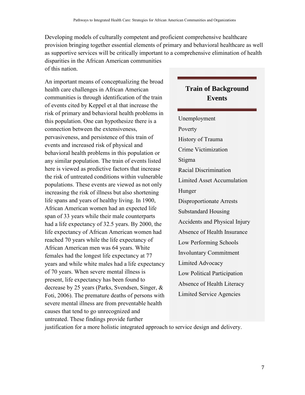Developing models of culturally competent and proficient comprehensive healthcare provision bringing together essential elements of primary and behavioral healthcare as well as supportive services will be critically important to a comprehensive elimination of health disparities in the African American communities of this nation.

An important means of conceptualizing the broad health care challenges in African American communities is through identification of the train of events cited by Keppel et al that increase the risk of primary and behavioral health problems in this population. One can hypothesize there is a connection between the extensiveness, pervasiveness, and persistence of this train of events and increased risk of physical and behavioral health problems in this population or any similar population. The train of events listed here is viewed as predictive factors that increase the risk of untreated conditions within vulnerable populations. These events are viewed as not only increasing the risk of illness but also shortening life spans and years of healthy living. In 1900, African American women had an expected life span of 33 years while their male counterparts had a life expectancy of 32.5 years. By 2000, the life expectancy of African American women had reached 70 years while the life expectancy of African American men was 64 years. White females had the longest life expectancy at 77 years and while white males had a life expectancy of 70 years. When severe mental illness is present, life expectancy has been found to decrease by 25 years (Parks, Svendsen, Singer, & Foti, 2006). The premature deaths of persons with severe mental illness are from preventable health causes that tend to go unrecognized and untreated. These findings provide further

# **Train of Background Events** Unemployment Poverty History of Trauma Crime Victimization Stigma Racial Discrimination Limited Asset Accumulation Hunger Disproportionate Arrests Substandard Housing Accidents and Physical Injury Absence of Health Insurance Low Performing Schools Involuntary Commitment Limited Advocacy Low Political Participation Absence of Health Literacy Limited Service Agencies

justification for a more holistic integrated approach to service design and delivery.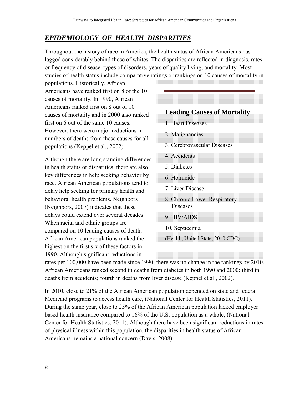## <span id="page-9-0"></span>*EPIDEMIOLOGY OF HEALTH DISPARITIES*

Throughout the history of race in America, the health status of African Americans has lagged considerably behind those of whites. The disparities are reflected in diagnosis, rates or frequency of disease, types of disorders, years of quality living, and mortality. Most studies of health status include comparative ratings or rankings on 10 causes of mortality in

populations. Historically, African Americans have ranked first on 8 of the 10 causes of mortality. In 1990, African Americans ranked first on 8 out of 10 causes of mortality and in 2000 also ranked first on 6 out of the same 10 causes. However, there were major reductions in numbers of deaths from these causes for all populations (Keppel et al., 2002).

Although there are long standing differences in health status or disparities, there are also key differences in help seeking behavior by race. African American populations tend to delay help seeking for primary health and behavioral health problems. Neighbors (Neighbors, 2007) indicates that these delays could extend over several decades. When racial and ethnic groups are compared on 10 leading causes of death, African American populations ranked the highest on the first six of these factors in 1990. Although significant reductions in



rates per 100,000 have been made since 1990, there was no change in the rankings by 2010. African Americans ranked second in deaths from diabetes in both 1990 and 2000; third in deaths from accidents; fourth in deaths from liver disease (Keppel et al., 2002).

In 2010, close to 21% of the African American population depended on state and federal Medicaid programs to access health care, (National Center for Health Statistics, 2011). During the same year, close to 25% of the African American population lacked employer based health insurance compared to 16% of the U.S. population as a whole, (National Center for Health Statistics, 2011). Although there have been significant reductions in rates of physical illness within this population, the disparities in health status of African Americans remains a national concern (Davis, 2008).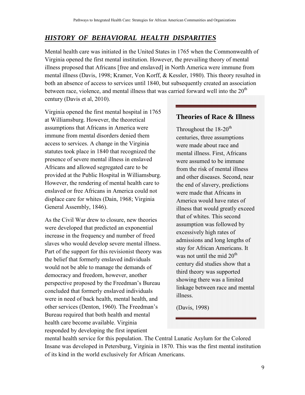### <span id="page-10-0"></span>*HISTORY OF BEHAVIORAL HEALTH DISPARITIES*

Mental health care was initiated in the United States in 1765 when the Commonwealth of Virginia opened the first mental institution. However, the prevailing theory of mental illness proposed that Africans [free and enslaved] in North America were immune from mental illness (Davis, 1998; Kramer, Von Korff, & Kessler, 1980). This theory resulted in both an absence of access to services until 1840, but subsequently created an association between race, violence, and mental illness that was carried forward well into the  $20<sup>th</sup>$ century (Davis et al, 2010).

Virginia opened the first mental hospital in 1765 at Williamsburg. However, the theoretical assumptions that Africans in America were immune from mental disorders denied them access to services. A change in the Virginia statutes took place in 1840 that recognized the presence of severe mental illness in enslaved Africans and allowed segregated care to be provided at the Public Hospital in Williamsburg. However, the rendering of mental health care to enslaved or free Africans in America could not displace care for whites (Dain, 1968; Virginia General Assembly, 1846).

As the Civil War drew to closure, new theories were developed that predicted an exponential increase in the frequency and number of freed slaves who would develop severe mental illness. Part of the support for this revisionist theory was the belief that formerly enslaved individuals would not be able to manage the demands of democracy and freedom, however, another perspective proposed by the Freedman's Bureau concluded that formerly enslaved individuals were in need of back health, mental health, and other services (Denton, 1960). The Freedman's Bureau required that both health and mental health care become available. Virginia responded by developing the first inpatient

#### **Theories of Race & Illness**

Throughout the  $18-20$ <sup>th</sup> centuries, three assumptions were made about race and mental illness. First, Africans were assumed to be immune from the risk of mental illness and other diseases. Second, near the end of slavery, predictions were made that Africans in America would have rates of illness that would greatly exceed that of whites. This second assumption was followed by excessively high rates of admissions and long lengths of stay for African Americans. It was not until the mid  $20<sup>th</sup>$ century did studies show that a third theory was supported showing there was a limited linkage between race and mental illness.

(Davis, 1998)

mental health service for this population. The Central Lunatic Asylum for the Colored Insane was developed in Petersburg, Virginia in 1870. This was the first mental institution of its kind in the world exclusively for African Americans.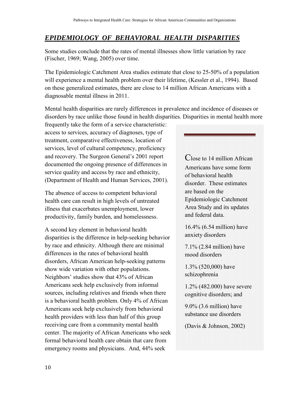#### <span id="page-11-0"></span>*EPIDEMIOLOGY OF BEHAVIORAL HEALTH DISPARITIES*

Some studies conclude that the rates of mental illnesses show little variation by race (Fischer, 1969; Wang, 2005) over time.

The Epidemiologic Catchment Area studies estimate that close to 25-50% of a population will experience a mental health problem over their lifetime, (Kessler et al., 1994). Based on these generalized estimates, there are close to 14 million African Americans with a diagnosable mental illness in 2011.

Mental health disparities are rarely differences in prevalence and incidence of diseases or disorders by race unlike those found in health disparities. Disparities in mental health more

frequently take the form of a service characteristic: access to services, accuracy of diagnoses, type of treatment, comparative effectiveness, location of services, level of cultural competency, proficiency and recovery. The Surgeon General's 2001 report documented the ongoing presence of differences in service quality and access by race and ethnicity, (Department of Health and Human Services, 2001).

The absence of access to competent behavioral health care can result in high levels of untreated illness that exacerbates unemployment, lower productivity, family burden, and homelessness.

A second key element in behavioral health disparities is the difference in help-seeking behavior by race and ethnicity. Although there are minimal differences in the rates of behavioral health disorders, African American help-seeking patterns show wide variation with other populations. Neighbors' studies show that 43% of African Americans seek help exclusively from informal sources, including relatives and friends when there is a behavioral health problem. Only 4% of African Americans seek help exclusively from behavioral health providers with less than half of this group receiving care from a community mental health center. The majority of African Americans who seek formal behavioral health care obtain that care from emergency rooms and physicians. And, 44% seek

Close to 14 million African Americans have some form of behavioral health disorder. These estimates are based on the Epidemiologic Catchment Area Study and its updates and federal data.

16.4% (6.54 million) have anxiety disorders

7.1% (2.84 million) have mood disorders

1.3% (520,000) have schizophrenia

1.2% (482.000) have severe cognitive disorders; and

9.0% (3.6 million) have substance use disorders

(Davis & Johnson, 2002)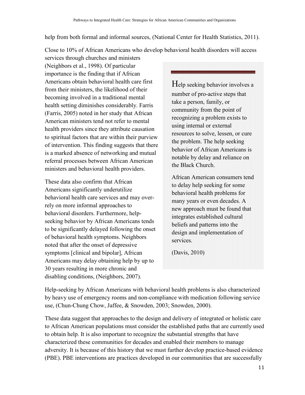help from both formal and informal sources, (National Center for Health Statistics, 2011).

Close to 10% of African Americans who develop behavioral health disorders will access

services through churches and ministers (Neighbors et al., 1998). Of particular importance is the finding that if African Americans obtain behavioral health care first from their ministers, the likelihood of their becoming involved in a traditional mental health setting diminishes considerably. Farris (Farris, 2005) noted in her study that African American ministers tend not refer to mental health providers since they attribute causation to spiritual factors that are within their purview of intervention. This finding suggests that there is a marked absence of networking and mutual referral processes between African American ministers and behavioral health providers.

These data also confirm that African Americans significantly underutilize behavioral health care services and may overrely on more informal approaches to behavioral disorders. Furthermore, helpseeking behavior by African Americans tends to be significantly delayed following the onset of behavioral health symptoms. Neighbors noted that after the onset of depressive symptoms [clinical and bipolar], African Americans may delay obtaining help by up to 30 years resulting in more chronic and disabling conditions, (Neighbors, 2007).

Help seeking behavior involves a number of pro-active steps that take a person, family, or community from the point of recognizing a problem exists to using internal or external resources to solve, lessen, or cure the problem. The help seeking behavior of African Americans is notable by delay and reliance on the Black Church.

African American consumers tend to delay help seeking for some behavioral health problems for many years or even decades. A new approach must be found that integrates established cultural beliefs and patterns into the design and implementation of services.

(Davis, 2010)

Help-seeking by African Americans with behavioral health problems is also characterized by heavy use of emergency rooms and non-compliance with medication following service use, (Chun-Chung Chow, Jaffee, & Snowden, 2003; Snowden, 2000).

These data suggest that approaches to the design and delivery of integrated or holistic care to African American populations must consider the established paths that are currently used to obtain help. It is also important to recognize the substantial strengths that have characterized these communities for decades and enabled their members to manage adversity. It is because of this history that we must further develop practice-based evidence (PBE). PBE interventions are practices developed in our communities that are successfully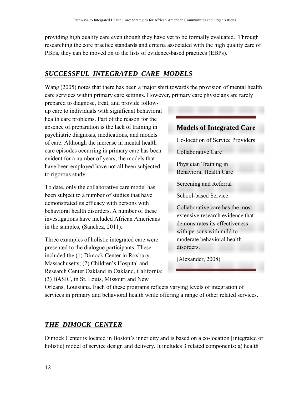providing high quality care even though they have yet to be formally evaluated. Through researching the core practice standards and criteria associated with the high quality care of PBEs, they can be moved on to the lists of evidence-based practices (EBPs).

## <span id="page-13-0"></span>*SUCCESSFUL INTEGRATED CARE MODELS*

Wang (2005) notes that there has been a major shift towards the provision of mental health care services within primary care settings. However, primary care physicians are rarely

prepared to diagnose, treat, and provide followup care to individuals with significant behavioral health care problems. Part of the reason for the absence of preparation is the lack of training in psychiatric diagnosis, medications, and models of care. Although the increase in mental health care episodes occurring in primary care has been evident for a number of years, the models that have been employed have not all been subjected to rigorous study.

To date, only the collaborative care model has been subject to a number of studies that have demonstrated its efficacy with persons with behavioral health disorders. A number of these investigations have included African Americans in the samples, (Sanchez, 2011).

Three examples of holistic integrated care were presented to the dialogue participants. These included the (1) Dimock Center in Roxbury, Massachusetts; (2) Children's Hospital and Research Center Oakland in Oakland, California; (3) BASIC, in St. Louis, Missouri and New



Orleans, Louisiana. Each of these programs reflects varying levels of integration of services in primary and behavioral health while offering a range of other related services.

## *THE DIMOCK CENTER*

Dimock Center is located in Boston's inner city and is based on a co-location [integrated or holistic] model of service design and delivery. It includes 3 related components: a) health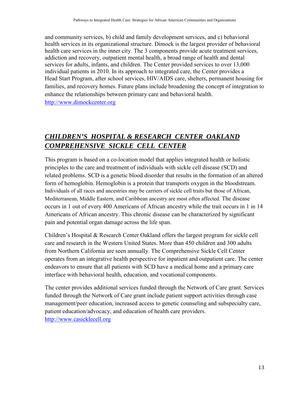and community services, b) child and family development services, and c) behavioral health services in its organizational structure. Dimock is the largest provider of behavioral health care services in the inner city. The 3 components provide acute treatment services, addiction and recovery, outpatient mental health, a broad range of health and dental services for adults, infants, and children. The Center provided services to over 13,000 individual patients in 2010. In its approach to integrated care, the Center provides a Head Start Program, after school services, HIV/AIDS care, shelters, permanent housing for families, and recovery homes. Future plans include broadening the concept of integration to enhance the relationships between primary care and behavioral health. [http://www.dimockcenter.org](http://www.dimockcenter.org/) 

## *CHILDREN'S HOSPITAL & RESEARCH CENTER OAKLAND COMPREHENSIVE SICKLE CELL CENTER*

This program is based on a co-location model that applies integrated health or holistic principles to the care and treatment of individuals with sickle cell disease (SCD) and related problems. SCD is a genetic blood disorder that results in the formation of an altered form of hemoglobin. Hemoglobin is a protein that transports oxygen in the bloodstream. Individuals of all races and ancestries may be carriers of sickle cell traits but those of African, Mediterranean, Middle Eastern, and Caribbean ancestry are most often affected. The disease occurs in 1 out of every 400 Americans of African ancestry while the trait occurs in 1 in 14 Americans of African ancestry. This chronic disease can be characterized by significant pain and potential organ damage across the life span.

Children's Hospital & Research Center Oakland offers the largest program for sickle cell care and research in the Western United States. More than 450 children and 300 adults from Northern California are seen annually. The Comprehensive Sickle Cell Center operates from an integrative health perspective for inpatient and outpatient care. The center endeavors to ensure that all patients with SCD have a medical home and a primary care interface with behavioral health, education, and vocational components.

The center provides additional services funded through the Network of Care grant. Services funded through the Network of Care grant include patient support activities through case management/peer education, increased access to genetic counseling and subspecialty care, patient education/advocacy, and education of health care providers. [http://www.casicklecell.org](http://www.casicklecell.org/)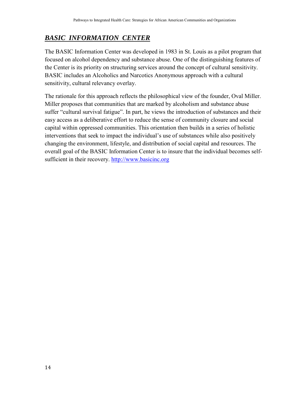## *BASIC INFORMATION CENTER*

The BASIC Information Center was developed in 1983 in St. Louis as a pilot program that focused on alcohol dependency and substance abuse. One of the distinguishing features of the Center is its priority on structuring services around the concept of cultural sensitivity. BASIC includes an Alcoholics and Narcotics Anonymous approach with a cultural sensitivity, cultural relevancy overlay.

The rationale for this approach reflects the philosophical view of the founder, Oval Miller. Miller proposes that communities that are marked by alcoholism and substance abuse suffer "cultural survival fatigue". In part, he views the introduction of substances and their easy access as a deliberative effort to reduce the sense of community closure and social capital within oppressed communities. This orientation then builds in a series of holistic interventions that seek to impact the individual's use of substances while also positively changing the environment, lifestyle, and distribution of social capital and resources. The overall goal of the BASIC Information Center is to insure that the individual becomes selfsufficient in their recovery. [http://www.basicinc.org](http://www.basicinc.org/)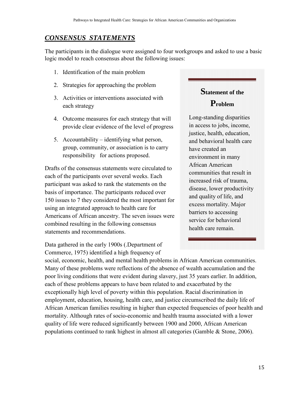#### <span id="page-16-0"></span>*CONSENSUS STATEMENTS*

The participants in the dialogue were assigned to four workgroups and asked to use a basic logic model to reach consensus about the following issues:

- 1. Identification of the main problem
- 2. Strategies for approaching the problem
- 3. Activities or interventions associated with each strategy
- 4. Outcome measures for each strategy that will provide clear evidence of the level of progress
- 5. Accountability identifying what person, group, community, or association is to carry responsibility for actions proposed.

Drafts of the consensus statements were circulated to each of the participants over several weeks. Each participant was asked to rank the statements on the basis of importance. The participants reduced over 150 issues to 7 they considered the most important for using an integrated approach to health care for Americans of African ancestry. The seven issues were combined resulting in the following consensus statements and recommendations.

Data gathered in the early 1900s (.Department of Commerce, 1975) identified a high frequency of

social, economic, health, and mental health problems in African American communities. Many of these problems were reflections of the absence of wealth accumulation and the poor living conditions that were evident during slavery, just 35 years earlier. In addition, each of these problems appears to have been related to and exacerbated by the exceptionally high level of poverty within this population. Racial discrimination in employment, education, housing, health care, and justice circumscribed the daily life of African American families resulting in higher than expected frequencies of poor health and mortality. Although rates of socio-economic and health trauma associated with a lower quality of life were reduced significantly between 1900 and 2000, African American populations continued to rank highest in almost all categories (Gamble & Stone, 2006).

## **Statement of the**

#### **Problem**

Long-standing disparities in access to jobs, income, justice, health, education, and behavioral health care have created an environment in many African American communities that result in increased risk of trauma, disease, lower productivity and quality of life, and excess mortality. Major barriers to accessing service for behavioral health care remain.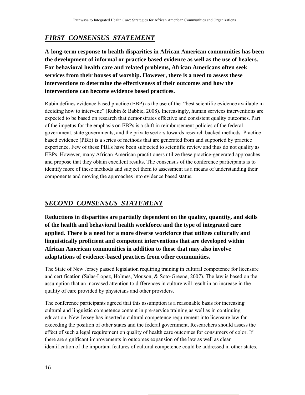## *FIRST CONSENSUS STATEMENT*

**A long-term response to health disparities in African American communities has been the development of informal or practice based evidence as well as the use of healers. For behavioral health care and related problems, African Americans often seek services from their houses of worship. However, there is a need to assess these interventions to determine the effectiveness of their outcomes and how the interventions can become evidence based practices.** 

Rubin defines evidence based practice (EBP) as the use of the "best scientific evidence available in deciding how to intervene" (Rubin & Babbie, 2008). Increasingly, human services interventions are expected to be based on research that demonstrates effective and consistent quality outcomes. Part of the impetus for the emphasis on EBPs is a shift in reimbursement policies of the federal government, state governments, and the private sectors towards research backed methods. Practice based evidence (PBE) is a series of methods that are generated from and supported by practice experience. Few of these PBEs have been subjected to scientific review and thus do not qualify as EBPs. However, many African American practitioners utilize these practice-generated approaches and propose that they obtain excellent results. The consensus of the conference participants is to identify more of these methods and subject them to assessment as a means of understanding their components and moving the approaches into evidence based status.

#### *SECOND CONSENSUS STATEMENT*

**Reductions in disparities are partially dependent on the quality, quantity, and skills of the health and behavioral health workforce and the type of integrated care applied. There is a need for a more diverse workforce that utilizes culturally and linguistically proficient and competent interventions that are developed within African American communities in addition to those that may also involve adaptations of evidence-based practices from other communities.** 

The State of New Jersey passed legislation requiring training in cultural competence for licensure and certification (Salas-Lopez, Holmes, Mouson, & Soto-Greene, 2007). The law is based on the assumption that an increased attention to differences in culture will result in an increase in the quality of care provided by physicians and other providers.

The conference participants agreed that this assumption is a reasonable basis for increasing cultural and linguistic competence content in pre-service training as well as in continuing education. New Jersey has inserted a cultural competence requirement into licensure law far exceeding the position of other states and the federal government. Researchers should assess the effect of such a legal requirement on quality of health care outcomes for consumers of color. If there are significant improvements in outcomes expansion of the law as well as clear identification of the important features of cultural competence could be addressed in other states.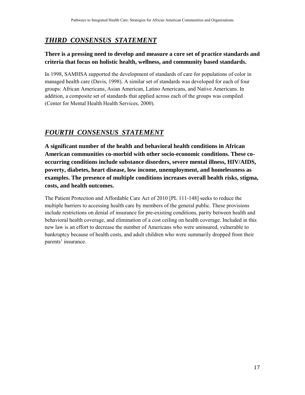## *THIRD CONSENSUS STATEMENT*

#### **There is a pressing need to develop and measure a core set of practice standards and criteria that focus on holistic health, wellness, and community based standards.**

In 1998, SAMHSA supported the development of standards of care for populations of color in managed health care (Davis, 1998). A similar set of standards was developed for each of four groups: African Americans, Asian American, Latino Americans, and Native Americans. In addition, a composite set of standards that applied across each of the groups was compiled (Center for Mental Health Health Services, 2000).

## *FOURTH CONSENSUS STATEMENT*

**A significant number of the health and behavioral health conditions in African American communities co-morbid with other socio-economic conditions. These cooccurring conditions include substance disorders, severe mental illness, HIV/AIDS, poverty, diabetes, heart disease, low income, unemployment, and homelessness as examples. The presence of multiple conditions increases overall health risks, stigma, costs, and health outcomes.** 

The Patient Protection and Affordable Care Act of 2010 [PL 111-148] seeks to reduce the multiple barriers to accessing health care by members of the general public. These provisions include restrictions on denial of insurance for pre-existing conditions, parity between health and behavioral health coverage, and elimination of a cost ceiling on health coverage. Included in this new law is an effort to decrease the number of Americans who were uninsured, vulnerable to bankruptcy because of health costs, and adult children who were summarily dropped from their parents' insurance.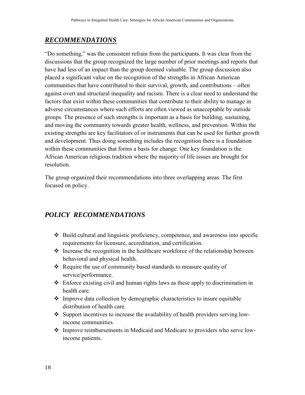#### <span id="page-19-0"></span>*RECOMMENDATIONS*

"Do something," was the consistent refrain from the participants. It was clear from the discussions that the group recognized the large number of prior meetings and reports that have had less of an impact than the group deemed valuable. The group discussion also placed a significant value on the recognition of the strengths in African American communities that have contributed to their survival, growth, and contributions – often against overt and structural inequality and racism. There is a clear need to understand the factors that exist within these communities that contribute to their ability to manage in adverse circumstances where such efforts are often viewed as unacceptable by outside groups. The presence of such strengths is important as a basis for building, sustaining, and moving the community towards greater health, wellness, and prevention. Within the existing strengths are key facilitators of or instruments that can be used for further growth and development. Thus doing something includes the recognition there is a foundation within these communities that forms a basis for change. One key foundation is the African American religious tradition where the majority of life issues are brought for resolution.

The group organized their recommendations into three overlapping areas. The first focused on policy.

## *POLICY RECOMMENDATIONS*

- Build cultural and linguistic proficiency, competence, and awareness into specific requirements for licensure, accreditation, and certification.
- $\cdot$  Increase the recognition in the healthcare workforce of the relationship between behavioral and physical health.
- \* Require the use of community based standards to measure quality of service/performance.
- $\triangle$  Enforce existing civil and human rights laws as these apply to discrimination in health care.
- $\cdot$  Improve data collection by demographic characteristics to insure equitable distribution of health care.
- \* Support incentives to increase the availability of health providers serving lowincome communities
- Improve reimbursements in Medicaid and Medicare to providers who serve lowincome patients.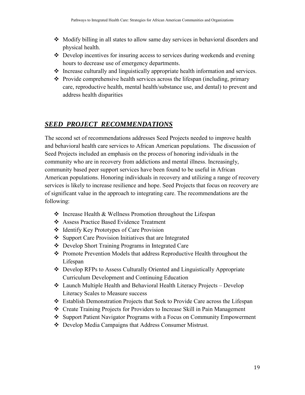- $\div$  Modify billing in all states to allow same day services in behavioral disorders and physical health.
- Develop incentives for insuring access to services during weekends and evening hours to decrease use of emergency departments.
- Increase culturally and linguistically appropriate health information and services.
- $\triangle$  Provide comprehensive health services across the lifespan (including, primary care, reproductive health, mental health/substance use, and dental) to prevent and address health disparities

## *SEED PROJECT RECOMMENDATIONS*

The second set of recommendations addresses Seed Projects needed to improve health and behavioral health care services to African American populations. The discussion of Seed Projects included an emphasis on the process of honoring individuals in the community who are in recovery from addictions and mental illness. Increasingly, community based peer support services have been found to be useful in African American populations. Honoring individuals in recovery and utilizing a range of recovery services is likely to increase resilience and hope. Seed Projects that focus on recovery are of significant value in the approach to integrating care. The recommendations are the following:

- $\triangle$  Increase Health & Wellness Promotion throughout the Lifespan
- Assess Practice Based Evidence Treatment
- ❖ Identify Key Prototypes of Care Provision
- ❖ Support Care Provision Initiatives that are Integrated
- Develop Short Training Programs in Integrated Care
- ◆ Promote Prevention Models that address Reproductive Health throughout the Lifespan
- Develop RFPs to Assess Culturally Oriented and Linguistically Appropriate Curriculum Development and Continuing Education
- Launch Multiple Health and Behavioral Health Literacy Projects Develop Literacy Scales to Measure success
- Establish Demonstration Projects that Seek to Provide Care across the Lifespan
- Create Training Projects for Providers to Increase Skill in Pain Management
- ❖ Support Patient Navigator Programs with a Focus on Community Empowerment
- Develop Media Campaigns that Address Consumer Mistrust.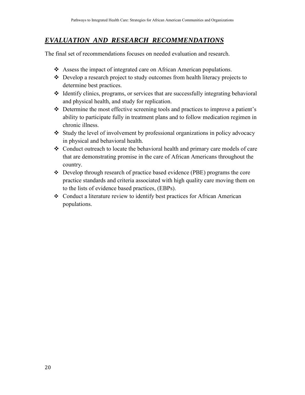#### *EVALUATION AND RESEARCH RECOMMENDATIONS*

The final set of recommendations focuses on needed evaluation and research.

- Assess the impact of integrated care on African American populations.
- Develop a research project to study outcomes from health literacy projects to determine best practices.
- $\triangleleft$  Identify clinics, programs, or services that are successfully integrating behavioral and physical health, and study for replication.
- Determine the most effective screening tools and practices to improve a patient's ability to participate fully in treatment plans and to follow medication regimen in chronic illness.
- Study the level of involvement by professional organizations in policy advocacy in physical and behavioral health.
- Conduct outreach to locate the behavioral health and primary care models of care that are demonstrating promise in the care of African Americans throughout the country.
- Develop through research of practice based evidence (PBE) programs the core practice standards and criteria associated with high quality care moving them on to the lists of evidence based practices, (EBPs).
- Conduct a literature review to identify best practices for African American populations.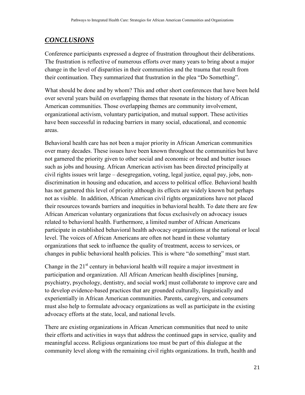## <span id="page-22-0"></span>*CONCLUSIONS*

Conference participants expressed a degree of frustration throughout their deliberations. The frustration is reflective of numerous efforts over many years to bring about a major change in the level of disparities in their communities and the trauma that result from their continuation. They summarized that frustration in the plea "Do Something".

What should be done and by whom? This and other short conferences that have been held over several years build on overlapping themes that resonate in the history of African American communities. Those overlapping themes are community involvement, organizational activism, voluntary participation, and mutual support. These activities have been successful in reducing barriers in many social, educational, and economic areas.

Behavioral health care has not been a major priority in African American communities over many decades. These issues have been known throughout the communities but have not garnered the priority given to other social and economic or bread and butter issues such as jobs and housing. African American activism has been directed principally at civil rights issues writ large – desegregation, voting, legal justice, equal pay, jobs, nondiscrimination in housing and education, and access to political office. Behavioral health has not garnered this level of priority although its effects are widely known but perhaps not as visible. In addition, African American civil rights organizations have not placed their resources towards barriers and inequities in behavioral health. To date there are few African American voluntary organizations that focus exclusively on advocacy issues related to behavioral health. Furthermore, a limited number of African Americans participate in established behavioral health advocacy organizations at the national or local level. The voices of African Americans are often not heard in these voluntary organizations that seek to influence the quality of treatment, access to services, or changes in public behavioral health policies. This is where "do something" must start.

Change in the  $21<sup>st</sup>$  century in behavioral health will require a major investment in participation and organization. All African American health disciplines [nursing, psychiatry, psychology, dentistry, and social work] must collaborate to improve care and to develop evidence-based practices that are grounded culturally, linguistically and experientially in African American communities. Parents, caregivers, and consumers must also help to formulate advocacy organizations as well as participate in the existing advocacy efforts at the state, local, and national levels.

There are existing organizations in African American communities that need to unite their efforts and activities in ways that address the continued gaps in service, quality and meaningful access. Religious organizations too must be part of this dialogue at the community level along with the remaining civil rights organizations. In truth, health and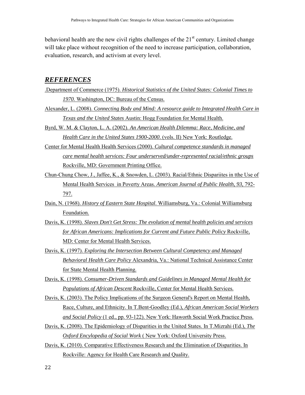<span id="page-23-0"></span>behavioral health are the new civil rights challenges of the  $21<sup>st</sup>$  century. Limited change will take place without recognition of the need to increase participation, collaboration, evaluation, research, and activism at every level.

#### *REFERENCES*

- .Department of Commerce (1975). *Historical Statistics of the United States: Colonial Times to 1970*. Washington, DC: Bureau of the Census.
- Alexander, L. (2008). *Connecting Body and Mind: A resource guide to Integrated Health Care in Texas and the United States* Austin: Hogg Foundation for Mental Health.
- Byrd, W. M. & Clayton, L. A. (2002). *An American Health Dilemma: Race, Medicine, and Health Care in the United States 1900-2000*. (vols. II) New York: Routledge.
- Center for Mental Health Health Services (2000). *Cultural competence standards in managed care mental health services: Four underserved/under-represented racial/ethnic groups* Rockville, MD: Government Printing Office.
- Chun-Chung Chow, J., Jaffee, K., & Snowden, L. (2003). Racial/Ethnic Dispariites in tthe Use of Mental Health Services in Poverty Areas. *American Journal of Public Health, 93,* 792- 797.
- Dain, N. (1968). *History of Eastern State Hospital*. Williamsburg, Va.: Colonial Williamsburg Foundation.
- Davis, K. (1998). *Slaves Don't Get Stress: The evolution of mental health policies and services for African Americans: Implications for Current and Future Public Policy* Rockville, MD: Center for Mental Health Services.
- Davis, K. (1997). *Exploring the Intersection Between Cultural Competency and Managed Behavioral Health Care Policy* Alexandria, Va.: National Technical Assistance Center for State Mental Health Planning.
- Davis, K. (1998). *Consumer-Driven Standards and Guidelines in Managed Mental Health for Populations of African Descent* Rockville, Center for Mental Health Services.
- Davis, K. (2003). The Policy Implications of the Surgeon General's Report on Mental Health, Race, Culture, and Ethnicity. In T.Bent-Goodley (Ed.), *African American Social Workers and Social Policy* (1 ed., pp. 93-122). New York: Haworth Social Work Practice Press.
- Davis, K. (2008). The Epidemiology of Disparities in the United States. In T.Mizrahi (Ed.), *The Oxford Encylopedia of Social Work* ( New York: Oxford University Press.
- Davis, K. (2010). Comparative Effectiveness Research and the Elimination of Disparities. In Rockville: Agency for Health Care Research and Quality.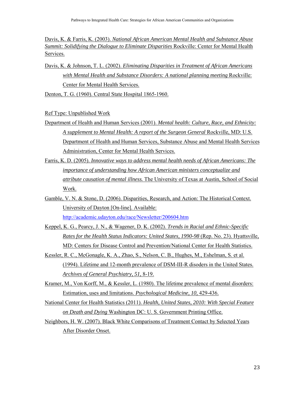Davis, K. & Farris, K. (2003). *National African American Mental Health and Substance Abuse Summit: Solidifying the Dialogue to Eliminate Disparities* Rockville: Center for Mental Health Services.

Davis, K. & Johnson, T. L. (2002). *Eliminating Disparities in Treatment of African Americans with Mental Health and Substance Disorders: A national planning meeting* Rockville: Center for Mental Health Services.

Denton, T. G. (1960). Central State Hospital 1865-1960.

Ref Type: Unpublished Work

- Department of Health and Human Services (2001). *Mental health: Culture, Race, and Ethnicity: A supplement to Mental Health: A report of the Surgeon General* Rockville, MD: U.S. Department of Health and Human Services, Substance Abuse and Mental Health Services Administration, Center for Mental Health Services.
- Farris, K. D. (2005). *Innovative ways to address mental health needs of African Americans: The importance of understanding how African American ministers conceptualize and attribute causation of mental illness.* The University of Texas at Austin, School of Social Work.
- Gamble, V. N. & Stone, D. (2006). Disparities, Research, and Action: The Historical Context. University of Dayton [On-line]. Available:

<http://academic.udayton.edu/race/Newsletter/200604.htm>

- Keppel, K. G., Pearcy, J. N., & Wagener, D. K. (2002). *Trends in Racial and Ethnic-Specific Rates for the Health Status Indicators: United States, 1990-98* (Rep. No. 23). Hyattsville, MD: Centers for Disease Control and Prevention/National Center for Health Statistics.
- Kessler, R. C., McGonagle, K. A., Zhao, S., Nelson, C. B., Hughes, M., Eshelman, S. et al. (1994). Lifetime and 12-month prevalence of DSM-III-R disoders in the United States. *Archives of General Psychiatry, 51,* 8-19.
- Kramer, M., Von Korff, M., & Kessler, L. (1980). The lifetime prevalence of mental disorders: Estimation, uses and limitations. *Psychological Medicine, 10,* 429-436.
- National Center for Health Statistics (2011). *Health, United States, 2010: With Special Feature on Death and Dying* Washington DC: U. S. Government Printing Office.
- Neighbors, H. W. (2007). Black White Comparisons of Treatment Contact by Selected Years After Disorder Onset.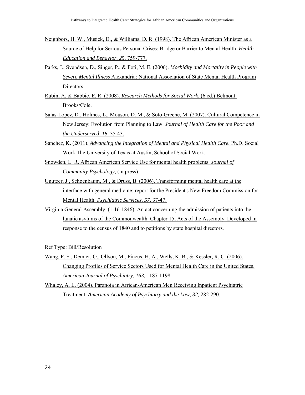- Neighbors, H. W., Musick, D., & Williams, D. R. (1998). The African American Minister as a Source of Help for Serious Personal Crises: Bridge or Barrier to Mental Health. *Health Education and Behavior, 25,* 759-777.
- Parks, J., Svendsen, D., Singer, P., & Foti, M. E. (2006). *Morbidity and Mortality in People with Severe Mental Illness* Alexandria: National Association of State Mental Health Program Directors.
- Rubin, A. & Babbie, E. R. (2008). *Research Methods for Social Work*. (6 ed.) Belmont: Brooks/Cole.
- Salas-Lopez, D., Holmes, L., Mouson, D. M., & Soto-Greene, M. (2007). Cultural Competence in New Jersey: Evolution from Planning to Law. *Journal of Health Care for the Poor and the Underserved, 18,* 35-43.
- Sanchez, K. (2011). *Advancing the Integration of Mental and Physical Health Care.* Ph.D. Social Work The University of Texas at Austin, School of Social Work.
- Snowden, L. R. African American Service Use for mental health problems. *Journal of Community Psychology,* (in press).
- Unutzer, J., Schoenbaum, M., & Druss, B. (2006). Transforming mental health care at the interface with general medicine: report for the President's New Freedom Commission for Mental Health. *Psychiatric Services, 57,* 37-47.
- Virginia General Assembly. (1-16-1846). An act concerning the admission of patients into the lunatic asylums of the Commonwealth. Chapter 15, Acts of the Assembly. Developed in response to the census of 1840 and to petitions by state hospital directors.

Ref Type: Bill/Resolution

- Wang, P. S., Demler, O., Olfson, M., Pincus, H. A., Wells, K. B., & Kessler, R. C. (2006). Changing Profiles of Service Sectors Used for Mental Health Care in the United States. *American Journal of Psychiatry, 163,* 1187-1198.
- Whaley, A. L. (2004). Paranoia in African-American Men Receiving Inpatient Psychiatric Treatment. *American Academy of Psychiatry and the Law, 32,* 282-290.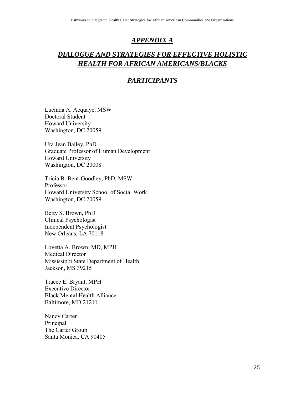#### <span id="page-26-0"></span>*APPENDIX A*

## *DIALOGUE AND STRATEGIES FOR EFFECTIVE HOLISTIC HEALTH FOR AFRICAN AMERICANS/BLACKS*

#### *PARTICIPANTS*

Lucinda A. Acquaye, MSW Doctoral Student Howard University Washington, DC 20059

Ura Jean Bailey, PhD Graduate Professor of Human Development Howard University Washington, DC 20008

Tricia B. Bent-Goodley, PhD, MSW Professor Howard University School of Social Work Washington, DC 20059

Betty S. Brown, PhD Clinical Psychologist Independent Psychologist New Orleans, LA 70118

Lovetta A. Brown, MD, MPH Medical Director Mississippi State Department of Health Jackson, MS 39215

Tracee E. Bryant, MPH Executive Director Black Mental Health Alliance Baltimore, MD 21211

Nancy Carter Principal The Carter Group Santa Monica, CA 90405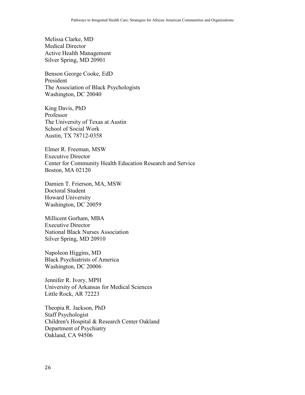Melissa Clarke, MD Medical Director Active Health Management Silver Spring, MD 20901

Benson George Cooke, EdD President The Association of Black Psychologists Washington, DC 20040

King Davis, PhD Professor The University of Texas at Austin School of Social Work Austin, TX 78712-0358

Elmer R. Freeman, MSW Executive Director Center for Community Health Education Research and Service Boston, MA 02120

Damien T. Frierson, MA, MSW Doctoral Student Howard University Washington, DC 20059

Millicent Gorham, MBA Executive Director National Black Nurses Association Silver Spring, MD 20910

Napoleon Higgins, MD Black Psychiatrists of America Washington, DC 20006

Jennifer R. Ivory, MPH University of Arkansas for Medical Sciences Little Rock, AR 72223

Theopia R. Jackson, PhD Staff Psychologist Children's Hospital & Research Center Oakland Department of Psychiatry Oakland, CA 94506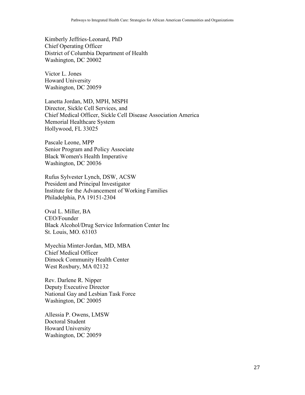Kimberly Jeffries-Leonard, PhD Chief Operating Officer District of Columbia Department of Health Washington, DC 20002

Victor L. Jones Howard University Washington, DC 20059

Lanetta Jordan, MD, MPH, MSPH Director, Sickle Cell Services, and Chief Medical Officer, Sickle Cell Disease Association America Memorial Healthcare System Hollywood, FL 33025

Pascale Leone, MPP Senior Program and Policy Associate Black Women's Health Imperative Washington, DC 20036

Rufus Sylvester Lynch, DSW, ACSW President and Principal Investigator Institute for the Advancement of Working Families Philadelphia, PA 19151-2304

Oval L. Miller, BA CEO/Founder Black Alcohol/Drug Service Information Center Inc St. Louis, MO. 63103

Myechia Minter-Jordan, MD, MBA Chief Medical Officer Dimock Community Health Center West Roxbury, MA 02132

Rev. Darlene R. Nipper Deputy Executive Director National Gay and Lesbian Task Force Washington, DC 20005

Allessia P. Owens, LMSW Doctoral Student Howard University Washington, DC 20059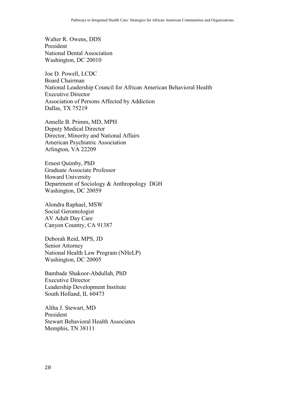Walter R. Owens, DDS President National Dental Association Washington, DC 20010

Joe D. Powell, LCDC Board Chairman National Leadership Council for African American Behavioral Health Executive Director Association of Persons Affected by Addiction Dallas, TX 75219

Annelle B. Primm, MD, MPH Deputy Medical Director Director, Minority and National Affairs American Psychiatric Association Arlington, VA 22209

Ernest Quimby, PhD Graduate Associate Professor Howard University Department of Sociology & Anthropology DGH Washington, DC 20059

Alondra Raphael, MSW Social Gerontologist AV Adult Day Care Canyon Country, CA 91387

Deborah Reid, MPS, JD Senior Attorney National Health Law Program (NHeLP) Washington, DC 20005

Bambade Shakoor-Abdullah, PhD Executive Director Leadership Development Institute South Holland, IL 60473

Altha J. Stewart, MD President Stewart Behavioral Health Associates Memphis, TN 38111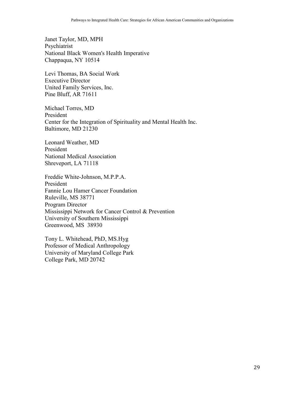Janet Taylor, MD, MPH Psychiatrist National Black Women's Health Imperative Chappaqua, NY 10514

Levi Thomas, BA Social Work Executive Director United Family Services, Inc. Pine Bluff, AR 71611

Michael Torres, MD President Center for the Integration of Spirituality and Mental Health Inc. Baltimore, MD 21230

Leonard Weather, MD President National Medical Association Shreveport, LA 71118

Freddie White-Johnson, M.P.P.A. President Fannie Lou Hamer Cancer Foundation Ruleville, MS 38771 Program Director Mississippi Network for Cancer Control & Prevention University of Southern Mississippi Greenwood, MS 38930

Tony L. Whitehead, PhD, MS.Hyg Professor of Medical Anthropology University of Maryland College Park College Park, MD 20742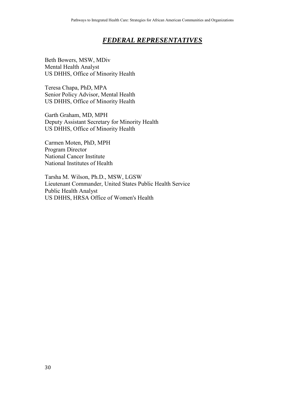#### *FEDERAL REPRESENTATIVES*

Beth Bowers, MSW, MDiv Mental Health Analyst US DHHS, Office of Minority Health

Teresa Chapa, PhD, MPA Senior Policy Advisor, Mental Health US DHHS, Office of Minority Health

Garth Graham, MD, MPH Deputy Assistant Secretary for Minority Health US DHHS, Office of Minority Health

Carmen Moten, PhD, MPH Program Director National Cancer Institute National Institutes of Health

Tarsha M. Wilson, Ph.D., MSW, LGSW Lieutenant Commander, United States Public Health Service Public Health Analyst US DHHS, HRSA Office of Women's Health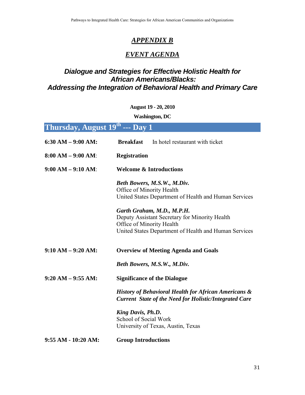## *APPENDIX B*

## *EVENT AGENDA*

## <span id="page-32-0"></span>*Dialogue and Strategies for Effective Holistic Health for African Americans/Blacks: Addressing the Integration of Behavioral Health and Primary Care*

#### **August 19 - 20, 2010**

**Washington, DC**

| Thursday, August $19^{\rm th}$ --- Day $1^\top$ |
|-------------------------------------------------|
|                                                 |
|                                                 |
|                                                 |

| $6:30 AM - 9:00 AM$ | <b>Breakfast</b><br>In hotel restaurant with ticket                                                                                                                                                                                                                                     |  |  |
|---------------------|-----------------------------------------------------------------------------------------------------------------------------------------------------------------------------------------------------------------------------------------------------------------------------------------|--|--|
| $8:00 AM - 9:00 AM$ | <b>Registration</b>                                                                                                                                                                                                                                                                     |  |  |
| $9:00 AM - 9:10 AM$ | <b>Welcome &amp; Introductions</b>                                                                                                                                                                                                                                                      |  |  |
|                     | Beth Bowers, M.S.W., M.Div.<br>Office of Minority Health<br>United States Department of Health and Human Services<br>Garth Graham, M.D., M.P.H.<br>Deputy Assistant Secretary for Minority Health<br>Office of Minority Health<br>United States Department of Health and Human Services |  |  |
|                     |                                                                                                                                                                                                                                                                                         |  |  |
| $9:10 AM - 9:20 AM$ | <b>Overview of Meeting Agenda and Goals</b>                                                                                                                                                                                                                                             |  |  |
|                     | Beth Bowers, M.S.W., M.Div.                                                                                                                                                                                                                                                             |  |  |
| $9:20 AM - 9:55 AM$ | <b>Significance of the Dialogue</b>                                                                                                                                                                                                                                                     |  |  |
|                     | <b>History of Behavioral Health for African Americans &amp;</b><br><b>Current State of the Need for Holistic/Integrated Care</b>                                                                                                                                                        |  |  |
|                     | King Davis, Ph.D.<br>School of Social Work<br>University of Texas, Austin, Texas                                                                                                                                                                                                        |  |  |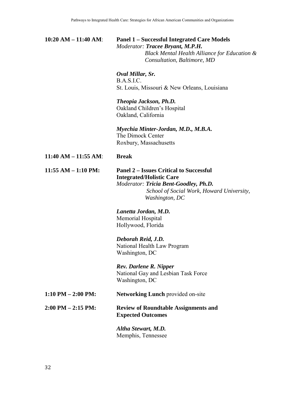#### **10:20 AM – 11:40 AM**: **Panel 1 – Successful Integrated Care Models**  *Moderator: Tracee Bryant, M.P.H. Black Mental Health Alliance for Education & Consultation, Baltimore, MD*

#### *Oval Millar, Sr.*

B.A.S.I.C. St. Louis, Missouri & New Orleans, Louisiana

#### *Theopia Jackson, Ph.D.*

Oakland Children's Hospital Oakland, California

#### *Myechia Minter-Jordan, M.D., M.B.A.*  The Dimock Center Roxbury, Massachusetts

**11:40 AM – 11:55 AM**: **Break**

#### **11:55 AM – 1:10 PM: Panel 2 – Issues Critical to Successful Integrated/Holistic Care** *Moderator: Tricia Bent-Goodley, Ph.D. School of Social Work, Howard University, Washington, DC*

*Lanetta Jordan, M.D.*  Memorial Hospital Hollywood, Florida

#### *Deborah Reid, J.D.*  National Health Law Program Washington, DC

*Rev. Darlene R. Nipper*  National Gay and Lesbian Task Force Washington, DC

#### **1:10 PM – 2:00 PM:** Networking Lunch provided on-site

#### **2:00 PM – 2:15 PM: Review of Roundtable Assignments and Expected Outcomes**

 *Altha Stewart, M.D.* Memphis, Tennessee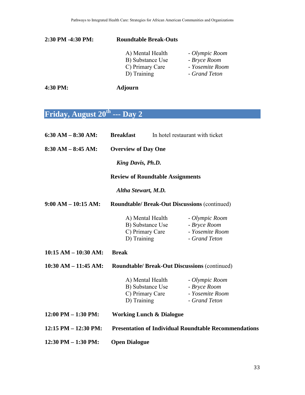#### **2:30 PM -4:30 PM: Roundtable Break-Outs**

| A) Mental Health | - Olympic Room  |
|------------------|-----------------|
| B) Substance Use | - Bryce Room    |
| C) Primary Care  | - Yosemite Room |
| D) Training      | - Grand Teton   |

**4:30 PM: Adjourn**

# **Friday, August 20th --- Day 2**

| 6:30 AM $-$ 8:30 AM:     | <b>Breakfast</b>                                                       |                                     | In hotel restaurant with ticket                                    |
|--------------------------|------------------------------------------------------------------------|-------------------------------------|--------------------------------------------------------------------|
| $8:30$ AM $-$ 8:45 AM:   | <b>Overview of Day One</b>                                             |                                     |                                                                    |
|                          | King Davis, Ph.D.                                                      |                                     |                                                                    |
|                          | <b>Review of Roundtable Assignments</b>                                |                                     |                                                                    |
|                          | Altha Stewart, M.D.                                                    |                                     |                                                                    |
| $9:00 AM - 10:15 AM$     | <b>Roundtable/ Break-Out Discussions (continued)</b>                   |                                     |                                                                    |
|                          | A) Mental Health<br>D) Training                                        | B) Substance Use<br>C) Primary Care | - Olympic Room<br>- Bryce Room<br>- Yosemite Room<br>- Grand Teton |
| $10:15 AM - 10:30 AM$    | <b>Break</b>                                                           |                                     |                                                                    |
| $10:30$ AM $- 11:45$ AM: | <b>Roundtable/ Break-Out Discussions (continued)</b>                   |                                     |                                                                    |
|                          | A) Mental Health<br>B) Substance Use<br>C) Primary Care<br>D) Training |                                     | - Olympic Room<br>- Bryce Room<br>- Yosemite Room<br>- Grand Teton |
| $12:00$ PM $- 1:30$ PM:  | <b>Working Lunch &amp; Dialogue</b>                                    |                                     |                                                                    |
| $12:15$ PM $- 12:30$ PM: |                                                                        |                                     | <b>Presentation of Individual Roundtable Recommendations</b>       |
| $12:30$ PM $- 1:30$ PM:  | <b>Open Dialogue</b>                                                   |                                     |                                                                    |